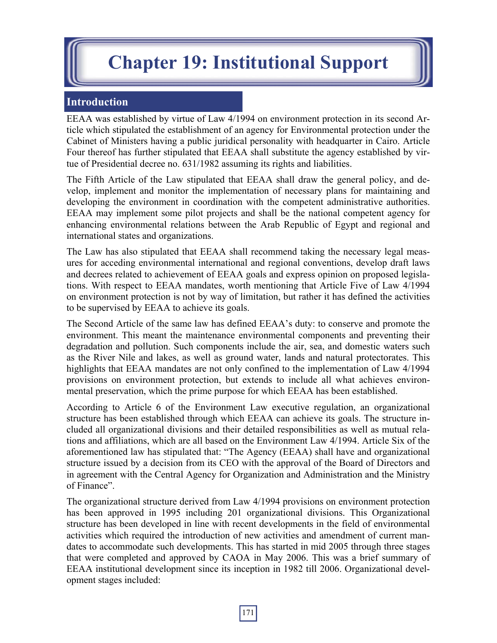# **Chapter 19: Institutional Support**

# **Introduction**

EEAA was established by virtue of Law 4/1994 on environment protection in its second Article which stipulated the establishment of an agency for Environmental protection under the Cabinet of Ministers having a public juridical personality with headquarter in Cairo. Article Four thereof has further stipulated that EEAA shall substitute the agency established by virtue of Presidential decree no. 631/1982 assuming its rights and liabilities.

The Fifth Article of the Law stipulated that EEAA shall draw the general policy, and develop, implement and monitor the implementation of necessary plans for maintaining and developing the environment in coordination with the competent administrative authorities. EEAA may implement some pilot projects and shall be the national competent agency for enhancing environmental relations between the Arab Republic of Egypt and regional and international states and organizations.

The Law has also stipulated that EEAA shall recommend taking the necessary legal measures for acceding environmental international and regional conventions, develop draft laws and decrees related to achievement of EEAA goals and express opinion on proposed legislations. With respect to EEAA mandates, worth mentioning that Article Five of Law 4/1994 on environment protection is not by way of limitation, but rather it has defined the activities to be supervised by EEAA to achieve its goals.

The Second Article of the same law has defined EEAA's duty: to conserve and promote the environment. This meant the maintenance environmental components and preventing their degradation and pollution. Such components include the air, sea, and domestic waters such as the River Nile and lakes, as well as ground water, lands and natural protectorates. This highlights that EEAA mandates are not only confined to the implementation of Law 4/1994 provisions on environment protection, but extends to include all what achieves environmental preservation, which the prime purpose for which EEAA has been established.

According to Article 6 of the Environment Law executive regulation, an organizational structure has been established through which EEAA can achieve its goals. The structure included all organizational divisions and their detailed responsibilities as well as mutual relations and affiliations, which are all based on the Environment Law 4/1994. Article Six of the aforementioned law has stipulated that: "The Agency (EEAA) shall have and organizational structure issued by a decision from its CEO with the approval of the Board of Directors and in agreement with the Central Agency for Organization and Administration and the Ministry of Finance".

The organizational structure derived from Law 4/1994 provisions on environment protection has been approved in 1995 including 201 organizational divisions. This Organizational structure has been developed in line with recent developments in the field of environmental activities which required the introduction of new activities and amendment of current mandates to accommodate such developments. This has started in mid 2005 through three stages that were completed and approved by CAOA in May 2006. This was a brief summary of EEAA institutional development since its inception in 1982 till 2006. Organizational development stages included: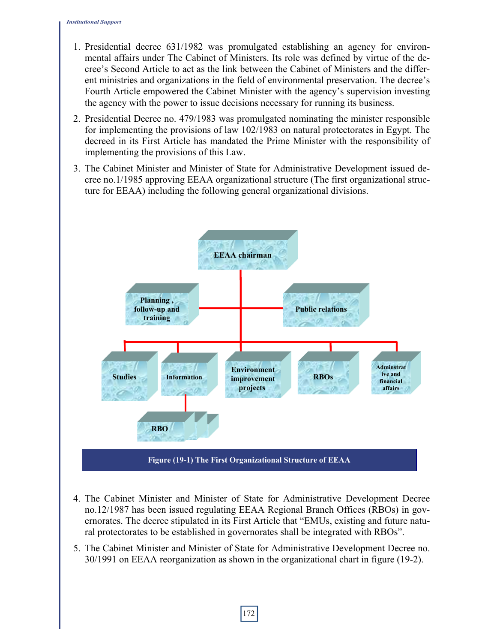- 1. Presidential decree 631/1982 was promulgated establishing an agency for environmental affairs under The Cabinet of Ministers. Its role was defined by virtue of the decree's Second Article to act as the link between the Cabinet of Ministers and the different ministries and organizations in the field of environmental preservation. The decree's Fourth Article empowered the Cabinet Minister with the agency's supervision investing the agency with the power to issue decisions necessary for running its business.
- 2. Presidential Decree no. 479/1983 was promulgated nominating the minister responsible for implementing the provisions of law 102/1983 on natural protectorates in Egypt. The decreed in its First Article has mandated the Prime Minister with the responsibility of implementing the provisions of this Law.
- 3. The Cabinet Minister and Minister of State for Administrative Development issued decree no.1/1985 approving EEAA organizational structure (The first organizational structure for EEAA) including the following general organizational divisions.



- 4. The Cabinet Minister and Minister of State for Administrative Development Decree no.12/1987 has been issued regulating EEAA Regional Branch Offices (RBOs) in governorates. The decree stipulated in its First Article that "EMUs, existing and future natural protectorates to be established in governorates shall be integrated with RBOs".
- 5. The Cabinet Minister and Minister of State for Administrative Development Decree no. 30/1991 on EEAA reorganization as shown in the organizational chart in figure (19-2).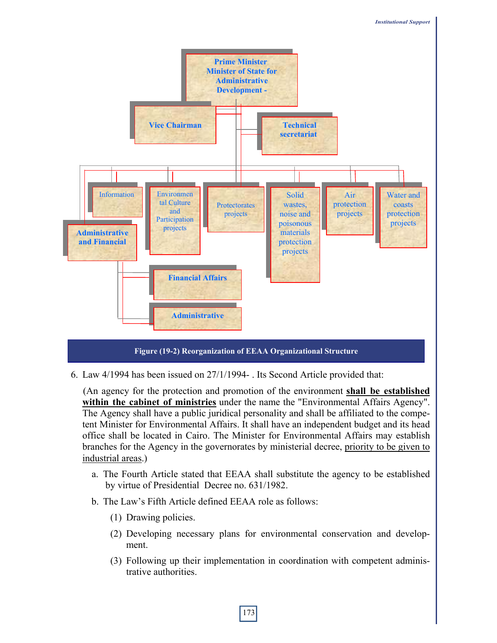

6. Law 4/1994 has been issued on 27/1/1994- . Its Second Article provided that:

 (An agency for the protection and promotion of the environment **shall be established within the cabinet of ministries** under the name the "Environmental Affairs Agency". The Agency shall have a public juridical personality and shall be affiliated to the competent Minister for Environmental Affairs. It shall have an independent budget and its head office shall be located in Cairo. The Minister for Environmental Affairs may establish branches for the Agency in the governorates by ministerial decree, priority to be given to industrial areas.)

- a. The Fourth Article stated that EEAA shall substitute the agency to be established by virtue of Presidential Decree no. 631/1982.
- b. The Law's Fifth Article defined EEAA role as follows:
	- (1) Drawing policies.
	- (2) Developing necessary plans for environmental conservation and development.
	- (3) Following up their implementation in coordination with competent administrative authorities.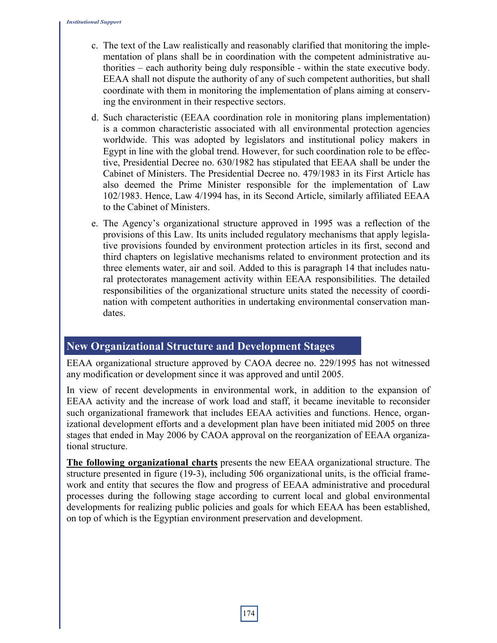- c. The text of the Law realistically and reasonably clarified that monitoring the implementation of plans shall be in coordination with the competent administrative authorities – each authority being duly responsible - within the state executive body. EEAA shall not dispute the authority of any of such competent authorities, but shall coordinate with them in monitoring the implementation of plans aiming at conserving the environment in their respective sectors.
- d. Such characteristic (EEAA coordination role in monitoring plans implementation) is a common characteristic associated with all environmental protection agencies worldwide. This was adopted by legislators and institutional policy makers in Egypt in line with the global trend. However, for such coordination role to be effective, Presidential Decree no. 630/1982 has stipulated that EEAA shall be under the Cabinet of Ministers. The Presidential Decree no. 479/1983 in its First Article has also deemed the Prime Minister responsible for the implementation of Law 102/1983. Hence, Law 4/1994 has, in its Second Article, similarly affiliated EEAA to the Cabinet of Ministers.
- e. The Agency's organizational structure approved in 1995 was a reflection of the provisions of this Law. Its units included regulatory mechanisms that apply legislative provisions founded by environment protection articles in its first, second and third chapters on legislative mechanisms related to environment protection and its three elements water, air and soil. Added to this is paragraph 14 that includes natural protectorates management activity within EEAA responsibilities. The detailed responsibilities of the organizational structure units stated the necessity of coordination with competent authorities in undertaking environmental conservation mandates.

## **New Organizational Structure and Development Stages**

EEAA organizational structure approved by CAOA decree no. 229/1995 has not witnessed any modification or development since it was approved and until 2005.

In view of recent developments in environmental work, in addition to the expansion of EEAA activity and the increase of work load and staff, it became inevitable to reconsider such organizational framework that includes EEAA activities and functions. Hence, organizational development efforts and a development plan have been initiated mid 2005 on three stages that ended in May 2006 by CAOA approval on the reorganization of EEAA organizational structure.

**The following organizational charts** presents the new EEAA organizational structure. The structure presented in figure (19-3), including 506 organizational units, is the official framework and entity that secures the flow and progress of EEAA administrative and procedural processes during the following stage according to current local and global environmental developments for realizing public policies and goals for which EEAA has been established, on top of which is the Egyptian environment preservation and development.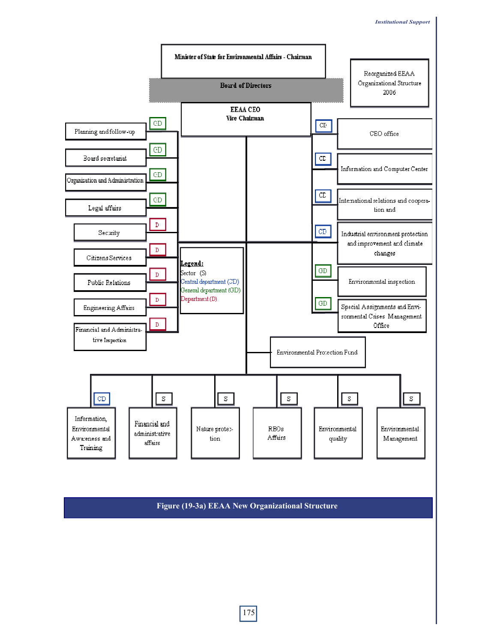

**Figure (19-3a) EEAA New Organizational Structure**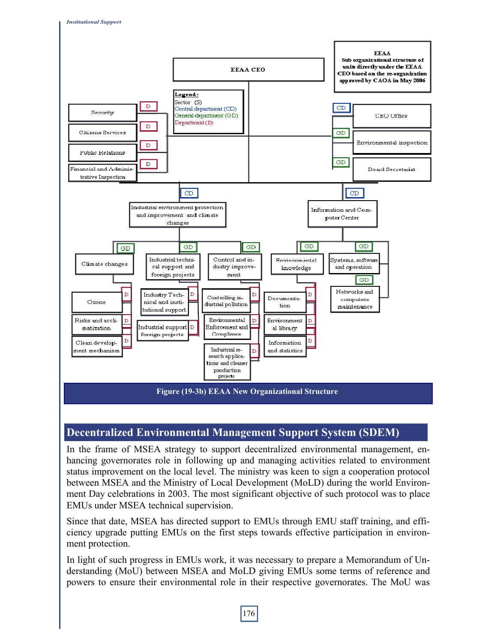

## **Decentralized Environmental Management Support System (SDEM)**

In the frame of MSEA strategy to support decentralized environmental management, enhancing governorates role in following up and managing activities related to environment status improvement on the local level. The ministry was keen to sign a cooperation protocol between MSEA and the Ministry of Local Development (MoLD) during the world Environment Day celebrations in 2003. The most significant objective of such protocol was to place EMUs under MSEA technical supervision.

Since that date, MSEA has directed support to EMUs through EMU staff training, and efficiency upgrade putting EMUs on the first steps towards effective participation in environment protection.

In light of such progress in EMUs work, it was necessary to prepare a Memorandum of Understanding (MoU) between MSEA and MoLD giving EMUs some terms of reference and powers to ensure their environmental role in their respective governorates. The MoU was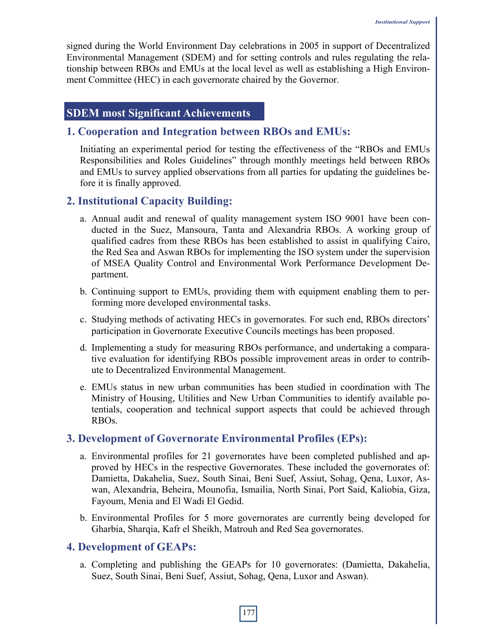signed during the World Environment Day celebrations in 2005 in support of Decentralized Environmental Management (SDEM) and for setting controls and rules regulating the relationship between RBOs and EMUs at the local level as well as establishing a High Environment Committee (HEC) in each governorate chaired by the Governor.

### **SDEM most Significant Achievements**

#### **1. Cooperation and Integration between RBOs and EMUs:**

Initiating an experimental period for testing the effectiveness of the "RBOs and EMUs Responsibilities and Roles Guidelines" through monthly meetings held between RBOs and EMUs to survey applied observations from all parties for updating the guidelines before it is finally approved.

#### **2. Institutional Capacity Building:**

- a. Annual audit and renewal of quality management system ISO 9001 have been conducted in the Suez, Mansoura, Tanta and Alexandria RBOs. A working group of qualified cadres from these RBOs has been established to assist in qualifying Cairo, the Red Sea and Aswan RBOs for implementing the ISO system under the supervision of MSEA Quality Control and Environmental Work Performance Development Department.
- b. Continuing support to EMUs, providing them with equipment enabling them to performing more developed environmental tasks.
- c. Studying methods of activating HECs in governorates. For such end, RBOs directors' participation in Governorate Executive Councils meetings has been proposed.
- d. Implementing a study for measuring RBOs performance, and undertaking a comparative evaluation for identifying RBOs possible improvement areas in order to contribute to Decentralized Environmental Management.
- e. EMUs status in new urban communities has been studied in coordination with The Ministry of Housing, Utilities and New Urban Communities to identify available potentials, cooperation and technical support aspects that could be achieved through RBOs.

#### **3. Development of Governorate Environmental Profiles (EPs):**

- a. Environmental profiles for 21 governorates have been completed published and approved by HECs in the respective Governorates. These included the governorates of: Damietta, Dakahelia, Suez, South Sinai, Beni Suef, Assiut, Sohag, Qena, Luxor, Aswan, Alexandria, Beheira, Mounofia, Ismailia, North Sinai, Port Said, Kaliobia, Giza, Fayoum, Menia and El Wadi El Gedid.
- b. Environmental Profiles for 5 more governorates are currently being developed for Gharbia, Sharqia, Kafr el Sheikh, Matrouh and Red Sea governorates.

#### **4. Development of GEAPs:**

a. Completing and publishing the GEAPs for 10 governorates: (Damietta, Dakahelia, Suez, South Sinai, Beni Suef, Assiut, Sohag, Qena, Luxor and Aswan).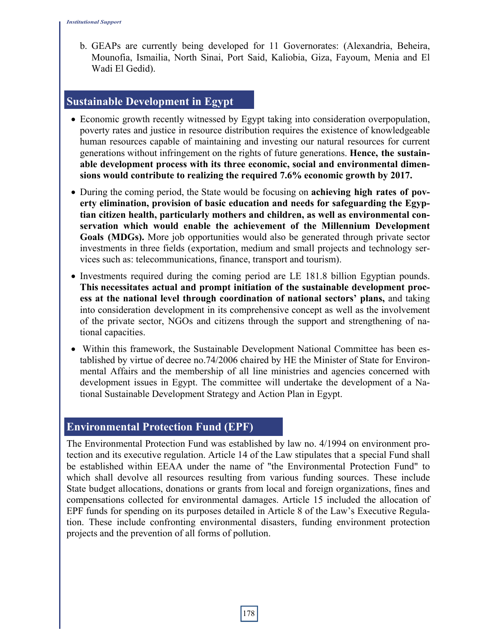b. GEAPs are currently being developed for 11 Governorates: (Alexandria, Beheira, Mounofia, Ismailia, North Sinai, Port Said, Kaliobia, Giza, Fayoum, Menia and El Wadi El Gedid).

#### **Sustainable Development in Egypt**

- Economic growth recently witnessed by Egypt taking into consideration overpopulation, poverty rates and justice in resource distribution requires the existence of knowledgeable human resources capable of maintaining and investing our natural resources for current generations without infringement on the rights of future generations. **Hence, the sustainable development process with its three economic, social and environmental dimensions would contribute to realizing the required 7.6% economic growth by 2017.**
- During the coming period, the State would be focusing on **achieving high rates of poverty elimination, provision of basic education and needs for safeguarding the Egyptian citizen health, particularly mothers and children, as well as environmental conservation which would enable the achievement of the Millennium Development Goals (MDGs).** More job opportunities would also be generated through private sector investments in three fields (exportation, medium and small projects and technology services such as: telecommunications, finance, transport and tourism).
- Investments required during the coming period are LE 181.8 billion Egyptian pounds. **This necessitates actual and prompt initiation of the sustainable development process at the national level through coordination of national sectors' plans,** and taking into consideration development in its comprehensive concept as well as the involvement of the private sector, NGOs and citizens through the support and strengthening of national capacities.
- Within this framework, the Sustainable Development National Committee has been established by virtue of decree no.74/2006 chaired by HE the Minister of State for Environmental Affairs and the membership of all line ministries and agencies concerned with development issues in Egypt. The committee will undertake the development of a National Sustainable Development Strategy and Action Plan in Egypt.

#### **Environmental Protection Fund (EPF)**

The Environmental Protection Fund was established by law no. 4/1994 on environment protection and its executive regulation. Article 14 of the Law stipulates that a special Fund shall be established within EEAA under the name of "the Environmental Protection Fund" to which shall devolve all resources resulting from various funding sources. These include State budget allocations, donations or grants from local and foreign organizations, fines and compensations collected for environmental damages. Article 15 included the allocation of EPF funds for spending on its purposes detailed in Article 8 of the Law's Executive Regulation. These include confronting environmental disasters, funding environment protection projects and the prevention of all forms of pollution.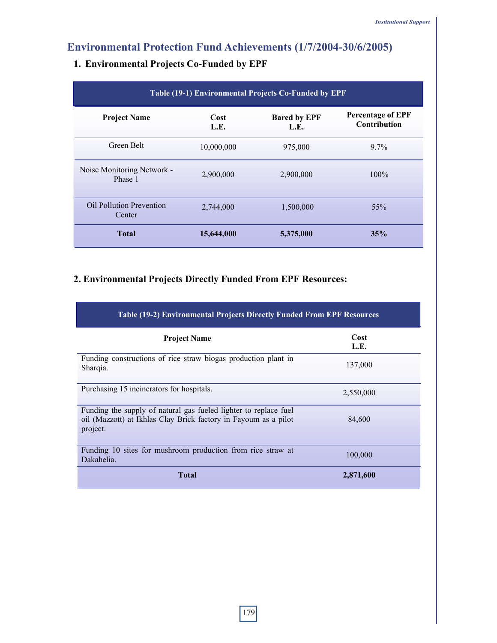# **Environmental Protection Fund Achievements (1/7/2004-30/6/2005)**

| Table (19-1) Environmental Projects Co-Funded by EPF |              |                             |                                                 |  |
|------------------------------------------------------|--------------|-----------------------------|-------------------------------------------------|--|
| <b>Project Name</b>                                  | Cost<br>L.E. | <b>Bared by EPF</b><br>L.E. | <b>Percentage of EPF</b><br><b>Contribution</b> |  |
| Green Belt                                           | 10,000,000   | 975,000                     | $9.7\%$                                         |  |
| Noise Monitoring Network -<br>Phase 1                | 2,900,000    | 2,900,000                   | $100\%$                                         |  |
| <b>Oil Pollution Prevention</b><br>Center            | 2,744,000    | 1,500,000                   | $55\%$                                          |  |
| <b>Total</b>                                         | 15,644,000   | 5,375,000                   | 35%                                             |  |

## **1. Environmental Projects Co-Funded by EPF**

## **2. Environmental Projects Directly Funded From EPF Resources:**

| <b>Table (19-2) Environmental Projects Directly Funded From EPF Resources</b>                                                                   |              |  |  |  |
|-------------------------------------------------------------------------------------------------------------------------------------------------|--------------|--|--|--|
| <b>Project Name</b>                                                                                                                             | Cost<br>L.E. |  |  |  |
| Funding constructions of rice straw biogas production plant in<br>Sharqia.                                                                      | 137,000      |  |  |  |
| Purchasing 15 incinerators for hospitals.                                                                                                       | 2,550,000    |  |  |  |
| Funding the supply of natural gas fueled lighter to replace fuel<br>oil (Mazzott) at Ikhlas Clay Brick factory in Fayoum as a pilot<br>project. | 84,600       |  |  |  |
| Funding 10 sites for mushroom production from rice straw at<br>Dakahelia.                                                                       | 100,000      |  |  |  |
| <b>Total</b>                                                                                                                                    | 2,871,600    |  |  |  |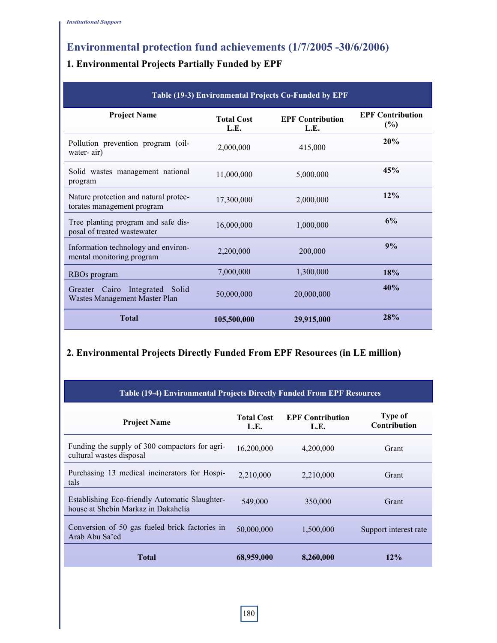# **Environmental protection fund achievements (1/7/2005 -30/6/2006)**

## **1. Environmental Projects Partially Funded by EPF**

| Table (19-3) Environmental Projects Co-Funded by EPF                |                           |                                 |                                   |  |
|---------------------------------------------------------------------|---------------------------|---------------------------------|-----------------------------------|--|
| <b>Project Name</b>                                                 | <b>Total Cost</b><br>L.E. | <b>EPF Contribution</b><br>L.E. | <b>EPF Contribution</b><br>$(\%)$ |  |
| Pollution prevention program (oil-<br>water-air)                    | 2,000,000                 | 415,000                         | 20%                               |  |
| Solid wastes management national<br>program                         | 11,000,000                | 5,000,000                       | 45%                               |  |
| Nature protection and natural protec-<br>torates management program | 17,300,000                | 2,000,000                       | 12%                               |  |
| Tree planting program and safe dis-<br>posal of treated wastewater  | 16,000,000                | 1,000,000                       | 6%                                |  |
| Information technology and environ-<br>mental monitoring program    | 2,200,000                 | 200,000                         | 9%                                |  |
| RBOs program                                                        | 7,000,000                 | 1,300,000                       | 18%                               |  |
| Greater Cairo<br>Integrated Solid<br>Wastes Management Master Plan  | 50,000,000                | 20,000,000                      | 40%                               |  |
| Total                                                               | 105,500,000               | 29,915,000                      | 28%                               |  |

### **2. Environmental Projects Directly Funded From EPF Resources (in LE million)**

| <b>Table (19-4) Environmental Projects Directly Funded From EPF Resources</b>         |                           |                                 |                                |  |
|---------------------------------------------------------------------------------------|---------------------------|---------------------------------|--------------------------------|--|
| <b>Project Name</b>                                                                   | <b>Total Cost</b><br>L.E. | <b>EPF Contribution</b><br>L.E. | <b>Type of</b><br>Contribution |  |
| Funding the supply of 300 compactors for agri-<br>cultural wastes disposal            | 16,200,000                | 4,200,000                       | Grant                          |  |
| Purchasing 13 medical incinerators for Hospi-<br>tals                                 | 2,210,000                 | 2,210,000                       | Grant                          |  |
| Establishing Eco-friendly Automatic Slaughter-<br>house at Shebin Markaz in Dakahelia | 549,000                   | 350,000                         | Grant                          |  |
| Conversion of 50 gas fueled brick factories in<br>Arab Abu Sa'ed                      | 50,000,000                | 1,500,000                       | Support interest rate          |  |
| <b>Total</b>                                                                          | 68,959,000                | 8,260,000                       | 12%                            |  |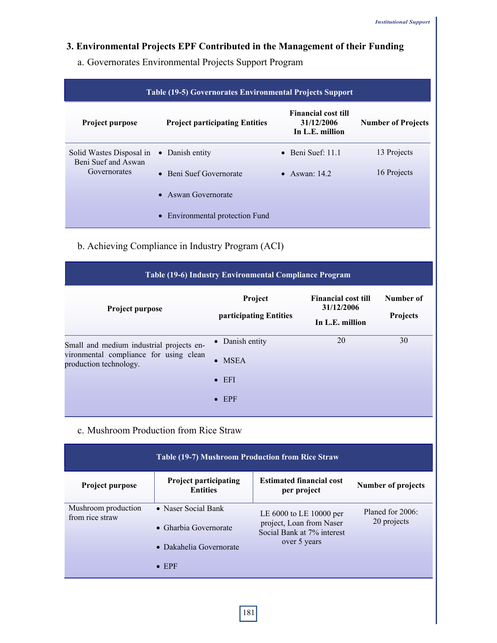## **3. Environmental Projects EPF Contributed in the Management of their Funding**

a. Governorates Environmental Projects Support Program

| <b>Table (19-5) Governorates Environmental Projects Support</b> |                                       |                                                             |                           |  |
|-----------------------------------------------------------------|---------------------------------------|-------------------------------------------------------------|---------------------------|--|
| Project purpose                                                 | <b>Project participating Entities</b> | <b>Financial cost till</b><br>31/12/2006<br>In L.E. million | <b>Number of Projects</b> |  |
| Solid Wastes Disposal in<br>Beni Suef and Aswan                 | • Danish entity                       | $\bullet$ Beni Suef: 11.1                                   | 13 Projects               |  |
| Governorates                                                    | • Beni Suef Governorate               | • Aswan: $14.2$                                             | 16 Projects               |  |
|                                                                 | • Aswan Governorate                   |                                                             |                           |  |
|                                                                 | • Environmental protection Fund       |                                                             |                           |  |

b. Achieving Compliance in Industry Program (ACI)

| Table (19-6) Industry Environmental Compliance Program           |                                   |                                                             |                              |  |
|------------------------------------------------------------------|-----------------------------------|-------------------------------------------------------------|------------------------------|--|
| Project purpose                                                  | Project<br>participating Entities | <b>Financial cost till</b><br>31/12/2006<br>In L.E. million | Number of<br><b>Projects</b> |  |
| Small and medium industrial projects en-                         | • Danish entity                   | 20                                                          | 30                           |  |
| vironmental compliance for using clean<br>production technology. | $\bullet$ MSEA                    |                                                             |                              |  |
|                                                                  | $\bullet$ EFI                     |                                                             |                              |  |
|                                                                  | $\bullet$ EPF                     |                                                             |                              |  |

#### c. Mushroom Production from Rice Straw

| Table (19-7) Mushroom Production from Rice Straw |                                                 |                                                                                                   |                                 |  |
|--------------------------------------------------|-------------------------------------------------|---------------------------------------------------------------------------------------------------|---------------------------------|--|
| Project purpose                                  | <b>Project participating</b><br><b>Entities</b> | <b>Estimated financial cost</b><br>per project                                                    | Number of projects              |  |
| Mushroom production<br>from rice straw           | • Naser Social Bank                             | LE 6000 to LE 10000 per<br>project, Loan from Naser<br>Social Bank at 7% interest<br>over 5 years | Planed for 2006:<br>20 projects |  |
|                                                  | $\bullet$ Gharbia Governorate                   |                                                                                                   |                                 |  |
|                                                  | • Dakahelia Governorate                         |                                                                                                   |                                 |  |
|                                                  | $\bullet$ EPF                                   |                                                                                                   |                                 |  |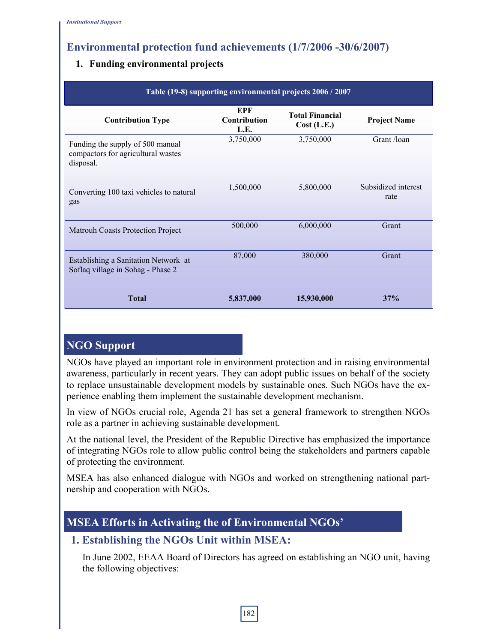# **Environmental protection fund achievements (1/7/2006 -30/6/2007)**

#### **1. Funding environmental projects**

| Table (19-8) supporting environmental projects 2006 / 2007                          |                             |                                       |                             |  |
|-------------------------------------------------------------------------------------|-----------------------------|---------------------------------------|-----------------------------|--|
| <b>Contribution Type</b>                                                            | EPF<br>Contribution<br>L.E. | <b>Total Financial</b><br>Cost (L.E.) | <b>Project Name</b>         |  |
| Funding the supply of 500 manual<br>compactors for agricultural wastes<br>disposal. | 3,750,000                   | 3,750,000                             | Grant /loan                 |  |
| Converting 100 taxi vehicles to natural<br>gas                                      | 1,500,000                   | 5,800,000                             | Subsidized interest<br>rate |  |
| <b>Matrouh Coasts Protection Project</b>                                            | 500,000                     | 6,000,000                             | Grant                       |  |
| Establishing a Sanitation Network at<br>Soflaq village in Sohag - Phase 2           | 87,000                      | 380,000                               | Grant                       |  |
| <b>Total</b>                                                                        | 5,837,000                   | 15,930,000                            | 37%                         |  |

## **NGO Support**

NGOs have played an important role in environment protection and in raising environmental awareness, particularly in recent years. They can adopt public issues on behalf of the society to replace unsustainable development models by sustainable ones. Such NGOs have the experience enabling them implement the sustainable development mechanism.

In view of NGOs crucial role, Agenda 21 has set a general framework to strengthen NGOs role as a partner in achieving sustainable development.

At the national level, the President of the Republic Directive has emphasized the importance of integrating NGOs role to allow public control being the stakeholders and partners capable of protecting the environment.

MSEA has also enhanced dialogue with NGOs and worked on strengthening national partnership and cooperation with NGOs.

# **MSEA Efforts in Activating the of Environmental NGOs'**

## **1. Establishing the NGOs Unit within MSEA:**

In June 2002, EEAA Board of Directors has agreed on establishing an NGO unit, having the following objectives: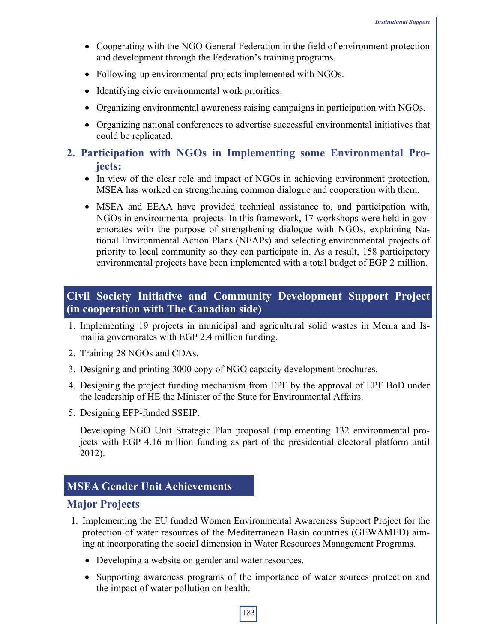- Cooperating with the NGO General Federation in the field of environment protection and development through the Federation's training programs.
- Following-up environmental projects implemented with NGOs.
- Identifying civic environmental work priorities.
- Organizing environmental awareness raising campaigns in participation with NGOs.
- Organizing national conferences to advertise successful environmental initiatives that could be replicated.

## **2. Participation with NGOs in Implementing some Environmental Projects:**

- In view of the clear role and impact of NGOs in achieving environment protection, MSEA has worked on strengthening common dialogue and cooperation with them.
- MSEA and EEAA have provided technical assistance to, and participation with, NGOs in environmental projects. In this framework, 17 workshops were held in governorates with the purpose of strengthening dialogue with NGOs, explaining National Environmental Action Plans (NEAPs) and selecting environmental projects of priority to local community so they can participate in. As a result, 158 participatory environmental projects have been implemented with a total budget of EGP 2 million.

## **Civil Society Initiative and Community Development Support Project (in cooperation with The Canadian side)**

- 1. Implementing 19 projects in municipal and agricultural solid wastes in Menia and Ismailia governorates with EGP 2.4 million funding.
- 2. Training 28 NGOs and CDAs.
- 3. Designing and printing 3000 copy of NGO capacity development brochures.
- 4. Designing the project funding mechanism from EPF by the approval of EPF BoD under the leadership of HE the Minister of the State for Environmental Affairs.
- 5. Designing EFP-funded SSEIP.

**6.** Developing NGO Unit Strategic Plan proposal (implementing 132 environmental projects with EGP 4.16 million funding as part of the presidential electoral platform until 2012).

## **MSEA Gender Unit Achievements**

#### **Major Projects**

- 1. Implementing the EU funded Women Environmental Awareness Support Project for the protection of water resources of the Mediterranean Basin countries (GEWAMED) aiming at incorporating the social dimension in Water Resources Management Programs.
	- Developing a website on gender and water resources.
	- Supporting awareness programs of the importance of water sources protection and the impact of water pollution on health.